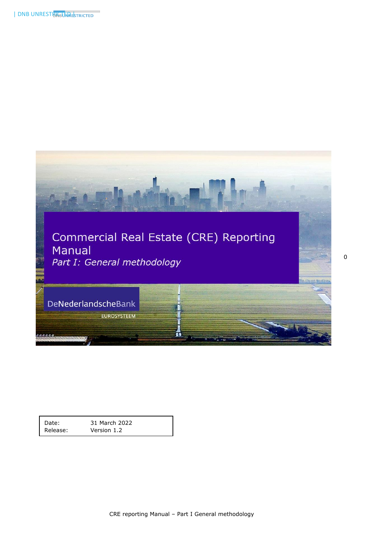

| Date:    | 31 March 2022 |
|----------|---------------|
| Release: | Version 1.2   |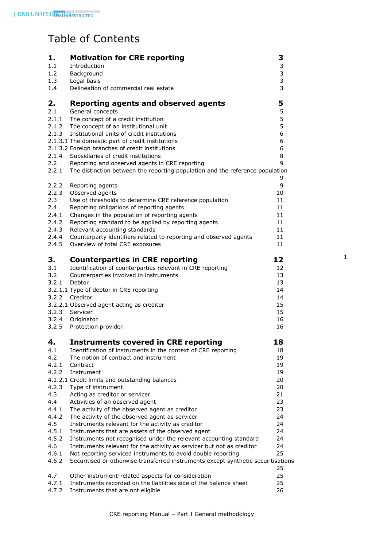# Table of Contents

| 1.             | <b>Motivation for CRE reporting</b>                                                                                                               | 3        |
|----------------|---------------------------------------------------------------------------------------------------------------------------------------------------|----------|
| 1.1            | Introduction                                                                                                                                      | 3        |
| 1.2            | Background                                                                                                                                        | 3<br>3   |
| 1.3<br>1.4     | Legal basis<br>Delineation of commercial real estate                                                                                              | 3        |
|                |                                                                                                                                                   |          |
| 2.             | <b>Reporting agents and observed agents</b>                                                                                                       | 5        |
| 2.1            | General concepts                                                                                                                                  | 5        |
| 2.1.1          | The concept of a credit institution                                                                                                               | 5        |
|                | 2.1.2 The concept of an institutional unit                                                                                                        | 5        |
|                | 2.1.3 Institutional units of credit institutions<br>2.1.3.1 The domestic part of credit institutions                                              | 6<br>6   |
|                | 2.1.3.2 Foreign branches of credit institutions                                                                                                   | 6        |
|                | 2.1.4 Subsidiaries of credit institutions                                                                                                         | 8        |
| 2.2            | Reporting and observed agents in CRE reporting                                                                                                    | 9        |
| 2.2.1          | The distinction between the reporting population and the reference population                                                                     |          |
|                |                                                                                                                                                   | 9        |
| 2.2.2          | Reporting agents                                                                                                                                  | 9        |
| 2.2.3          | Observed agents                                                                                                                                   | 10       |
| 2.3            | Use of thresholds to determine CRE reference population                                                                                           | 11       |
| 2.4            | Reporting obligations of reporting agents                                                                                                         | 11       |
| 2.4.1<br>2.4.2 | Changes in the population of reporting agents<br>Reporting standard to be applied by reporting agents                                             | 11<br>11 |
| 2.4.3          | Relevant accounting standards                                                                                                                     | 11       |
| 2.4.4          | Counterparty identifiers related to reporting and observed agents                                                                                 | 11       |
| 2.4.5          | Overview of total CRE exposures                                                                                                                   | 11       |
| З.             | <b>Counterparties in CRE reporting</b>                                                                                                            | 12       |
| 3.1            | Identification of counterparties relevant in CRE reporting                                                                                        | 12       |
| 3.2            | Counterparties involved in instruments                                                                                                            | 13       |
| 3.2.1          | Debtor                                                                                                                                            | 13       |
|                | 3.2.1.1 Type of debtor in CRE reporting                                                                                                           | 14       |
| 3.2.2          | Creditor                                                                                                                                          | 14       |
|                | 3.2.2.1 Observed agent acting as creditor                                                                                                         | 15       |
|                | 3.2.3 Servicer                                                                                                                                    | 15       |
| 3.2.4          | Originator<br>Protection provider                                                                                                                 | 16       |
| 3.2.5          |                                                                                                                                                   | 16       |
| 4.             | <b>Instruments covered in CRE reporting</b>                                                                                                       | 18       |
| 4.1            | Identification of instruments in the context of CRE reporting                                                                                     | 18       |
| 4.2            | The notion of contract and instrument                                                                                                             | 19       |
| 4.2.1          | Contract                                                                                                                                          | 19       |
| 4.2.2          | Instrument                                                                                                                                        | 19       |
| 4.2.3          | 4.1.2.1 Credit limits and outstanding balances<br>Type of instrument                                                                              | 20<br>20 |
| 4.3            | Acting as creditor or servicer                                                                                                                    | 21       |
| 4.4            | Activities of an observed agent                                                                                                                   | 23       |
| 4.4.1          | The activity of the observed agent as creditor                                                                                                    | 23       |
| 4.4.2          | The activity of the observed agent as servicer                                                                                                    | 24       |
| 4.5            | Instruments relevant for the activity as creditor                                                                                                 | 24       |
| 4.5.1          | Instruments that are assets of the observed agent                                                                                                 | 24       |
| 4.5.2          | Instruments not recognised under the relevant accounting standard                                                                                 | 24       |
| 4.6            | Instruments relevant for the activity as servicer but not as creditor                                                                             | 24       |
| 4.6.1<br>4.6.2 | Not reporting serviced instruments to avoid double reporting<br>Securitised or otherwise transferred instruments except synthetic securitisations | 25       |
|                |                                                                                                                                                   | 25       |
| 4.7            | Other instrument-related aspects for consideration                                                                                                | 25       |
| 4.7.1          | Instruments recorded on the liabilities side of the balance sheet                                                                                 | 25       |
| 4.7.2          | Instruments that are not eligible                                                                                                                 | 26       |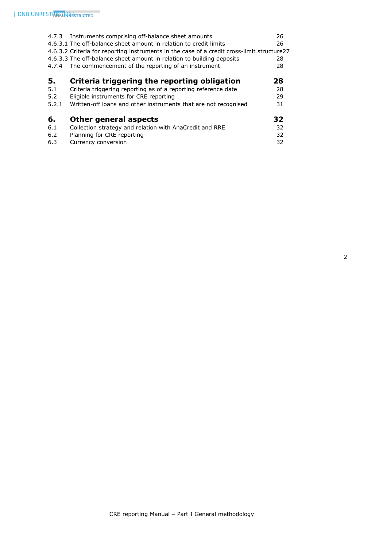| 4.7.3 | Instruments comprising off-balance sheet amounts                                           | 26 |
|-------|--------------------------------------------------------------------------------------------|----|
|       | 4.6.3.1 The off-balance sheet amount in relation to credit limits                          | 26 |
|       | 4.6.3.2 Criteria for reporting instruments in the case of a credit cross-limit structure27 |    |
|       | 4.6.3.3 The off-balance sheet amount in relation to building deposits                      | 28 |
| 4.7.4 | The commencement of the reporting of an instrument                                         | 28 |
|       |                                                                                            |    |
| 5.    | Criteria triggering the reporting obligation                                               | 28 |
| 5.1   | Criteria triggering reporting as of a reporting reference date                             | 28 |
| 5.2   | Eligible instruments for CRE reporting                                                     | 29 |
| 5.2.1 | Written-off loans and other instruments that are not recognised                            | 31 |
|       |                                                                                            |    |
| 6.    | <b>Other general aspects</b>                                                               | 32 |
| 6.1   | Collection strategy and relation with AnaCredit and RRE                                    | 32 |
| 6.2   | Planning for CRE reporting                                                                 | 32 |
| 6.3   | Currency conversion                                                                        | 32 |
|       |                                                                                            |    |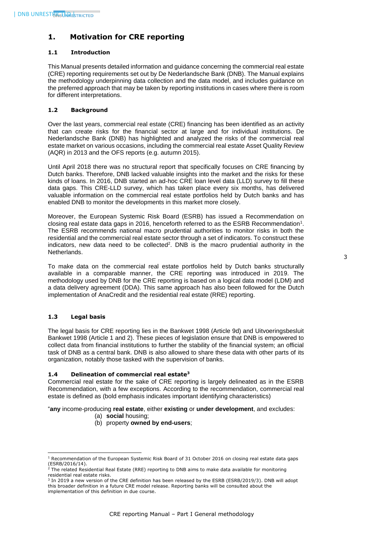# <span id="page-3-0"></span>**1. Motivation for CRE reporting**

# <span id="page-3-1"></span>**1.1 Introduction**

This Manual presents detailed information and guidance concerning the commercial real estate (CRE) reporting requirements set out by De Nederlandsche Bank (DNB). The Manual explains the methodology underpinning data collection and the data model, and includes guidance on the preferred approach that may be taken by reporting institutions in cases where there is room for different interpretations.

# <span id="page-3-2"></span>**1.2 Background**

Over the last years, commercial real estate (CRE) financing has been identified as an activity that can create risks for the financial sector at large and for individual institutions. De Nederlandsche Bank (DNB) has highlighted and analyzed the risks of the commercial real estate market on various occasions, including the commercial real estate Asset Quality Review (AQR) in 2013 and the OFS reports (e.g. autumn 2015).

Until April 2018 there was no structural report that specifically focuses on CRE financing by Dutch banks. Therefore, DNB lacked valuable insights into the market and the risks for these kinds of loans. In 2016, DNB started an ad-hoc CRE loan level data (LLD) survey to fill these data gaps. This CRE-LLD survey, which has taken place every six months, has delivered valuable information on the commercial real estate portfolios held by Dutch banks and has enabled DNB to monitor the developments in this market more closely.

Moreover, the European Systemic Risk Board (ESRB) has issued a Recommendation on closing real estate data gaps in 2016, henceforth referred to as the ESRB Recommendation<sup>1</sup>. The ESRB recommends national macro prudential authorities to monitor risks in both the residential and the commercial real estate sector through a set of indicators. To construct these indicators, new data need to be collected<sup>2</sup>. DNB is the macro prudential authority in the Netherlands.

To make data on the commercial real estate portfolios held by Dutch banks structurally available in a comparable manner, the CRE reporting was introduced in 2019. The methodology used by DNB for the CRE reporting is based on a logical data model (LDM) and a data delivery agreement (DDA). This same approach has also been followed for the Dutch implementation of AnaCredit and the residential real estate (RRE) reporting.

# <span id="page-3-3"></span>**1.3 Legal basis**

ł

The legal basis for CRE reporting lies in the Bankwet 1998 (Article 9d) and Uitvoeringsbesluit Bankwet 1998 (Article 1 and 2). These pieces of legislation ensure that DNB is empowered to collect data from financial institutions to further the stability of the financial system; an official task of DNB as a central bank. DNB is also allowed to share these data with other parts of its organization, notably those tasked with the supervision of banks.

# <span id="page-3-4"></span>**1.4 Delineation of commercial real estate<sup>3</sup>**

Commercial real estate for the sake of CRE reporting is largely delineated as in the ESRB Recommendation, with a few exceptions. According to the recommendation, commercial real estate is defined as (bold emphasis indicates important identifying characteristics)

"**any** income-producing **real estate**, either **existing** or **under development**, and excludes:

- (a) **social** housing;
- (b) property **owned by end-users**;

 $1$  Recommendation of the European Systemic Risk Board of 31 October 2016 on closing real estate data gaps (ESRB/2016/14).<br><sup>2</sup> The related Residential Real Estate (RRE) reporting to DNB aims to make data available for monitoring

residential real estate risks.<br><sup>3</sup> In 2019 a new version of the CRE definition has been released by the ESRB (ESRB/2019/3). DNB will adopt

this broader definition in a future CRE model release. Reporting banks will be consulted about the implementation of this definition in due course.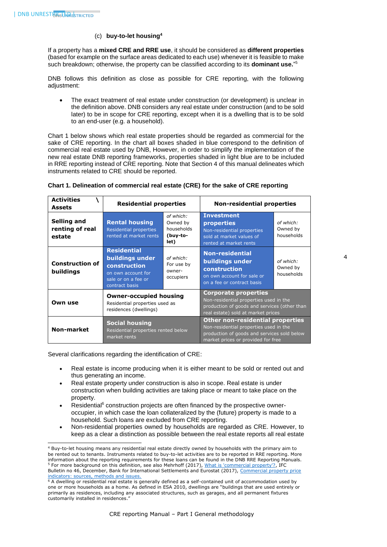1

# (c) **buy-to-let housing<sup>4</sup>**

If a property has a **mixed CRE and RRE use**, it should be considered as **different properties** (based for example on the surface areas dedicated to each use) whenever it is feasible to make such breakdown; otherwise, the property can be classified according to its **dominant use.**" 5

DNB follows this definition as close as possible for CRE reporting, with the following adjustment:

• The exact treatment of real estate under construction (or development) is unclear in the definition above. DNB considers any real estate under construction (and to be sold later) to be in scope for CRE reporting, except when it is a dwelling that is to be sold to an end-user (e.g. a household).

Chart 1 below shows which real estate properties should be regarded as commercial for the sake of CRE reporting. In the chart all boxes shaded in blue correspond to the definition of commercial real estate used by DNB, However, in order to simplify the implementation of the new real estate DNB reporting frameworks, properties shaded in light blue are to be included in RRE reporting instead of CRE reporting. Note that Section 4 of this manual delineates which instruments related to CRE should be reported.

| <b>Activities</b><br><b>Assets</b>       | <b>Residential properties</b>                                                                                        |                                                         | <b>Non-residential properties</b>                                                                                                                                      |                                     |
|------------------------------------------|----------------------------------------------------------------------------------------------------------------------|---------------------------------------------------------|------------------------------------------------------------------------------------------------------------------------------------------------------------------------|-------------------------------------|
| Selling and<br>renting of real<br>estate | <b>Rental housing</b><br><b>Residential properties</b><br>rented at market rents                                     | of which:<br>Owned by<br>households<br>(buy-to-<br>let) | <b>Investment</b><br><b>properties</b><br>Non-residential properties<br>sold at market values of<br>rented at market rents                                             | of which:<br>Owned by<br>households |
| <b>Construction of</b><br>buildings      | <b>Residential</b><br>buildings under<br>construction<br>on own account for<br>sale or on a fee or<br>contract basis | of which:<br>For use by<br>owner-<br>occupiers          | <b>Non-residential</b><br>buildings under<br>construction<br>on own account for sale or<br>on a fee or contract basis                                                  | of which:<br>Owned by<br>households |
| Own use                                  | <b>Owner-occupied housing</b><br>Residential properties used as<br>residences (dwellings)                            |                                                         | <b>Corporate properties</b><br>Non-residential properties used in the<br>production of goods and services (other than<br>real estate) sold at market prices            |                                     |
| <b>Non-market</b>                        | <b>Social housing</b><br>Residential properties rented below<br>market rents                                         |                                                         | <b>Other non-residential properties</b><br>Non-residential properties used in the<br>production of goods and services sold below<br>market prices or provided for free |                                     |

# **Chart 1. Delineation of commercial real estate (CRE) for the sake of CRE reporting**

Several clarifications regarding the identification of CRE:

- Real estate is income producing when it is either meant to be sold or rented out and thus generating an income.
- Real estate property under construction is also in scope. Real estate is under construction when building activities are taking place or meant to take place on the property.
- Residential $<sup>6</sup>$  construction projects are often financed by the prospective owner-</sup> occupier, in which case the loan collateralized by the (future) property is made to a household. Such loans are excluded from CRE reporting.
- Non-residential properties owned by households are regarded as CRE. However, to keep as a clear a distinction as possible between the real estate reports all real estate

<sup>4</sup> Buy-to-let housing means any residential real estate directly owned by households with the primary aim to be rented out to tenants. Instruments related to buy-to-let activities are to be reported in RRE reporting. More information about the reporting requirements for these loans can be found in the DNB RRE Reporting Manuals. <sup>5</sup> For more background on this definition, see also Mehrhoff (2017)[, What is 'commercial property'?,](https://www.bis.org/ifc/publ/ifcb46e.pdf) IFC Bulletin no 46, December, Bank for International Settlements and Eurostat (2017), Commercial property price [indicators: sources, methods and issues.](http://ec.europa.eu/eurostat/documents/7870049/8545612/KS-FT-16-001-EN-N.pdf/9e4bbc9b-8c6f-44a9-b686-1083a7a8fa0f)

<sup>6</sup> A dwelling or residential real estate is generally defined as a self-contained unit of accommodation used by one or more households as a home. As defined in ESA 2010, dwellings are "buildings that are used entirely or primarily as residences, including any associated structures, such as garages, and all permanent fixtures customarily installed in residences."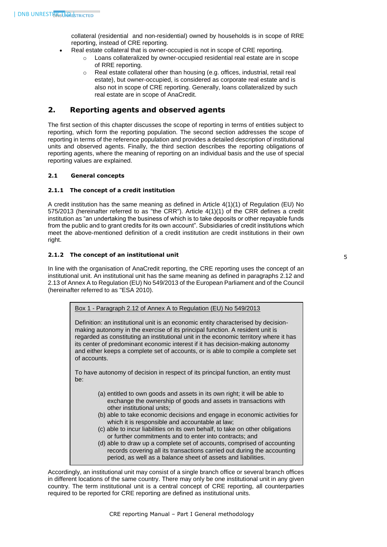collateral (residential and non-residential) owned by households is in scope of RRE reporting, instead of CRE reporting.

- Real estate collateral that is owner-occupied is not in scope of CRE reporting.
	- o Loans collateralized by owner-occupied residential real estate are in scope of RRE reporting.
	- o Real estate collateral other than housing (e.g. offices, industrial, retail real estate), but owner-occupied, is considered as corporate real estate and is also not in scope of CRE reporting. Generally, loans collateralized by such real estate are in scope of AnaCredit.

# <span id="page-5-0"></span>**2. Reporting agents and observed agents**

The first section of this chapter discusses the scope of reporting in terms of entities subject to reporting, which form the reporting population. The second section addresses the scope of reporting in terms of the reference population and provides a detailed description of institutional units and observed agents. Finally, the third section describes the reporting obligations of reporting agents, where the meaning of reporting on an individual basis and the use of special reporting values are explained.

# <span id="page-5-2"></span><span id="page-5-1"></span>**2.1 General concepts**

# **2.1.1 The concept of a credit institution**

A credit institution has the same meaning as defined in Article 4(1)(1) of Regulation (EU) No 575/2013 (hereinafter referred to as "the CRR"). Article 4(1)(1) of the CRR defines a credit institution as "an undertaking the business of which is to take deposits or other repayable funds from the public and to grant credits for its own account". Subsidiaries of credit institutions which meet the above-mentioned definition of a credit institution are credit institutions in their own right.

# <span id="page-5-3"></span>**2.1.2 The concept of an institutional unit**

In line with the organisation of AnaCredit reporting, the CRE reporting uses the concept of an institutional unit. An institutional unit has the same meaning as defined in paragraphs 2.12 and 2.13 of Annex A to Regulation (EU) No 549/2013 of the European Parliament and of the Council (hereinafter referred to as "ESA 2010).

| Box 1 - Paragraph 2.12 of Annex A to Regulation (EU) No 549/2013                                                                                                                                                                                                                      |
|---------------------------------------------------------------------------------------------------------------------------------------------------------------------------------------------------------------------------------------------------------------------------------------|
| Definition: an institutional unit is an economic entity characterised by decision-<br>making autonomy in the exercise of its principal function. A resident unit is<br>the concellent and a concellent concellent attention of the first that the concellent concellent concellent in |

regarded as constituting an institutional unit in the economic territory where it has its center of predominant economic interest if it has decision-making autonomy and either keeps a complete set of accounts, or is able to compile a complete set of accounts.

To have autonomy of decision in respect of its principal function, an entity must be:

- (a) entitled to own goods and assets in its own right; it will be able to exchange the ownership of goods and assets in transactions with other institutional units;
- (b) able to take economic decisions and engage in economic activities for which it is responsible and accountable at law;
- (c) able to incur liabilities on its own behalf, to take on other obligations or further commitments and to enter into contracts; and
- (d) able to draw up a complete set of accounts, comprised of accounting records covering all its transactions carried out during the accounting period, as well as a balance sheet of assets and liabilities.

Accordingly, an institutional unit may consist of a single branch office or several branch offices in different locations of the same country. There may only be one institutional unit in any given country. The term institutional unit is a central concept of CRE reporting, all counterparties required to be reported for CRE reporting are defined as institutional units.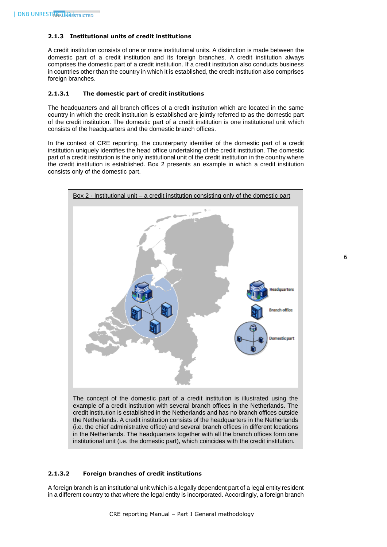# <span id="page-6-0"></span>**2.1.3 Institutional units of credit institutions**

A credit institution consists of one or more institutional units. A distinction is made between the domestic part of a credit institution and its foreign branches. A credit institution always comprises the domestic part of a credit institution. If a credit institution also conducts business in countries other than the country in which it is established, the credit institution also comprises foreign branches.

# <span id="page-6-1"></span>**2.1.3.1 The domestic part of credit institutions**

The headquarters and all branch offices of a credit institution which are located in the same country in which the credit institution is established are jointly referred to as the domestic part of the credit institution. The domestic part of a credit institution is one institutional unit which consists of the headquarters and the domestic branch offices.

In the context of CRE reporting, the counterparty identifier of the domestic part of a credit institution uniquely identifies the head office undertaking of the credit institution. The domestic part of a credit institution is the only institutional unit of the credit institution in the country where the credit institution is established. Box 2 presents an example in which a credit institution consists only of the domestic part.



#### <span id="page-6-2"></span>**2.1.3.2 Foreign branches of credit institutions**

A foreign branch is an institutional unit which is a legally dependent part of a legal entity resident in a different country to that where the legal entity is incorporated. Accordingly, a foreign branch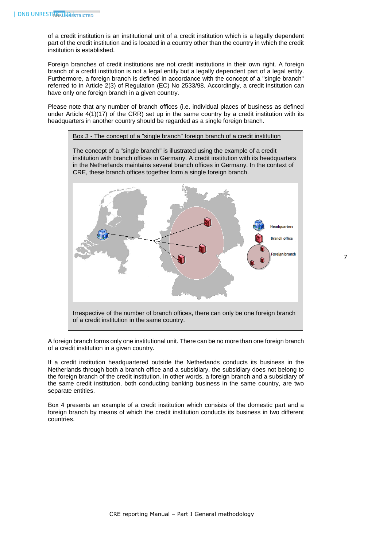of a credit institution is an institutional unit of a credit institution which is a legally dependent part of the credit institution and is located in a country other than the country in which the credit institution is established.

Foreign branches of credit institutions are not credit institutions in their own right. A foreign branch of a credit institution is not a legal entity but a legally dependent part of a legal entity. Furthermore, a foreign branch is defined in accordance with the concept of a "single branch" referred to in Article 2(3) of Regulation (EC) No 2533/98. Accordingly, a credit institution can have only one foreign branch in a given country.

Please note that any number of branch offices (i.e. individual places of business as defined under Article  $4(1)(17)$  of the CRR) set up in the same country by a credit institution with its headquarters in another country should be regarded as a single foreign branch.



The concept of a "single branch" is illustrated using the example of a credit institution with branch offices in Germany. A credit institution with its headquarters in the Netherlands maintains several branch offices in Germany. In the context of CRE, these branch offices together form a single foreign branch.



A foreign branch forms only one institutional unit. There can be no more than one foreign branch of a credit institution in a given country.

If a credit institution headquartered outside the Netherlands conducts its business in the Netherlands through both a branch office and a subsidiary, the subsidiary does not belong to the foreign branch of the credit institution. In other words, a foreign branch and a subsidiary of the same credit institution, both conducting banking business in the same country, are two separate entities.

Box 4 presents an example of a credit institution which consists of the domestic part and a foreign branch by means of which the credit institution conducts its business in two different countries.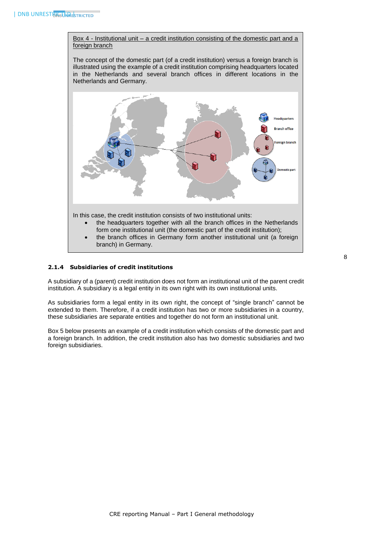Box 4 - Institutional unit – a credit institution consisting of the domestic part and a foreign branch

The concept of the domestic part (of a credit institution) versus a foreign branch is illustrated using the example of a credit institution comprising headquarters located in the Netherlands and several branch offices in different locations in the Netherlands and Germany.



# <span id="page-8-0"></span>**2.1.4 Subsidiaries of credit institutions**

A subsidiary of a (parent) credit institution does not form an institutional unit of the parent credit institution. A subsidiary is a legal entity in its own right with its own institutional units.

As subsidiaries form a legal entity in its own right, the concept of "single branch" cannot be extended to them. Therefore, if a credit institution has two or more subsidiaries in a country, these subsidiaries are separate entities and together do not form an institutional unit.

Box 5 below presents an example of a credit institution which consists of the domestic part and a foreign branch. In addition, the credit institution also has two domestic subsidiaries and two foreign subsidiaries.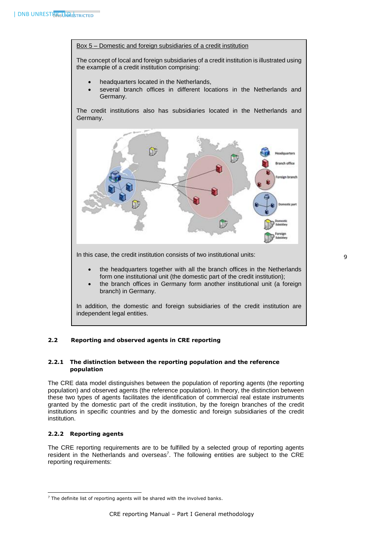#### Box 5 – Domestic and foreign subsidiaries of a credit institution

The concept of local and foreign subsidiaries of a credit institution is illustrated using the example of a credit institution comprising:

- headquarters located in the Netherlands,
- several branch offices in different locations in the Netherlands and Germany.

The credit institutions also has subsidiaries located in the Netherlands and Germany.



In this case, the credit institution consists of two institutional units:

- the headquarters together with all the branch offices in the Netherlands form one institutional unit (the domestic part of the credit institution);
- the branch offices in Germany form another institutional unit (a foreign branch) in Germany.

In addition, the domestic and foreign subsidiaries of the credit institution are independent legal entities.

# <span id="page-9-0"></span>**2.2 Reporting and observed agents in CRE reporting**

# <span id="page-9-1"></span>**2.2.1 The distinction between the reporting population and the reference population**

The CRE data model distinguishes between the population of reporting agents (the reporting population) and observed agents (the reference population). In theory, the distinction between these two types of agents facilitates the identification of commercial real estate instruments granted by the domestic part of the credit institution, by the foreign branches of the credit institutions in specific countries and by the domestic and foreign subsidiaries of the credit institution.

# <span id="page-9-2"></span>**2.2.2 Reporting agents**

1

The CRE reporting requirements are to be fulfilled by a selected group of reporting agents resident in the Netherlands and overseas<sup>7</sup>. The following entities are subject to the CRE reporting requirements:

<sup>&</sup>lt;sup>7</sup> The definite list of reporting agents will be shared with the involved banks.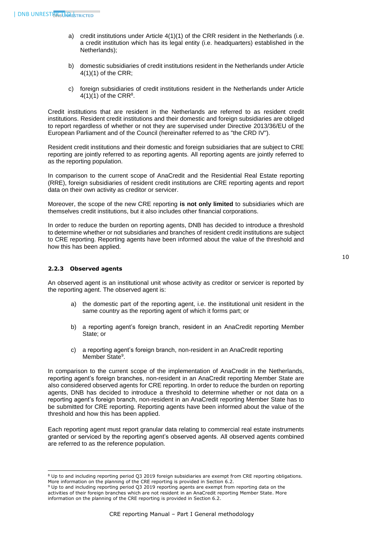- a) credit institutions under Article 4(1)(1) of the CRR resident in the Netherlands (i.e. a credit institution which has its legal entity (i.e. headquarters) established in the Netherlands);
- b) domestic subsidiaries of credit institutions resident in the Netherlands under Article 4(1)(1) of the CRR;
- c) foreign subsidiaries of credit institutions resident in the Netherlands under Article  $4(1)(1)$  of the CRR<sup>8</sup>.

Credit institutions that are resident in the Netherlands are referred to as resident credit institutions. Resident credit institutions and their domestic and foreign subsidiaries are obliged to report regardless of whether or not they are supervised under Directive 2013/36/EU of the European Parliament and of the Council (hereinafter referred to as "the CRD IV").

Resident credit institutions and their domestic and foreign subsidiaries that are subject to CRE reporting are jointly referred to as reporting agents. All reporting agents are jointly referred to as the reporting population.

In comparison to the current scope of AnaCredit and the Residential Real Estate reporting (RRE), foreign subsidiaries of resident credit institutions are CRE reporting agents and report data on their own activity as creditor or servicer.

Moreover, the scope of the new CRE reporting **is not only limited** to subsidiaries which are themselves credit institutions, but it also includes other financial corporations.

In order to reduce the burden on reporting agents, DNB has decided to introduce a threshold to determine whether or not subsidiaries and branches of resident credit institutions are subject to CRE reporting. Reporting agents have been informed about the value of the threshold and how this has been applied.

# <span id="page-10-0"></span>**2.2.3 Observed agents**

An observed agent is an institutional unit whose activity as creditor or servicer is reported by the reporting agent. The observed agent is:

- a) the domestic part of the reporting agent, i.e. the institutional unit resident in the same country as the reporting agent of which it forms part; or
- b) a reporting agent's foreign branch, resident in an AnaCredit reporting Member State; or
- c) a reporting agent's foreign branch, non-resident in an AnaCredit reporting Member State<sup>9</sup>.

In comparison to the current scope of the implementation of AnaCredit in the Netherlands, reporting agent's foreign branches, non-resident in an AnaCredit reporting Member State are also considered observed agents for CRE reporting. In order to reduce the burden on reporting agents, DNB has decided to introduce a threshold to determine whether or not data on a reporting agent's foreign branch, non-resident in an AnaCredit reporting Member State has to be submitted for CRE reporting. Reporting agents have been informed about the value of the threshold and how this has been applied.

Each reporting agent must report granular data relating to commercial real estate instruments granted or serviced by the reporting agent's observed agents. All observed agents combined are referred to as the reference population.

<sup>-</sup><sup>8</sup> Up to and including reporting period Q3 2019 foreign subsidiaries are exempt from CRE reporting obligations. More information on the planning of the CRE reporting is provided in Section 6.2.

<sup>9</sup> Up to and including reporting period Q3 2019 reporting agents are exempt from reporting data on the activities of their foreign branches which are not resident in an AnaCredit reporting Member State. More information on the planning of the CRE reporting is provided in Section 6.2.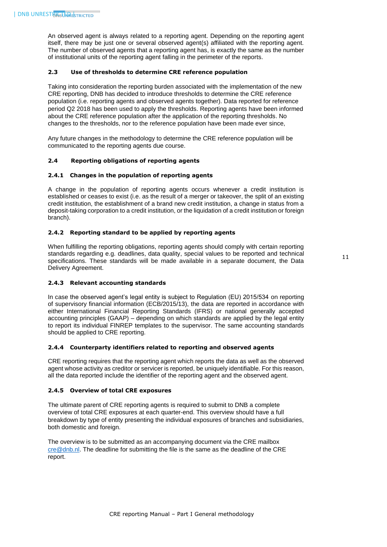An observed agent is always related to a reporting agent. Depending on the reporting agent itself, there may be just one or several observed agent(s) affiliated with the reporting agent. The number of observed agents that a reporting agent has, is exactly the same as the number of institutional units of the reporting agent falling in the perimeter of the reports.

#### <span id="page-11-0"></span>**2.3 Use of thresholds to determine CRE reference population**

Taking into consideration the reporting burden associated with the implementation of the new CRE reporting, DNB has decided to introduce thresholds to determine the CRE reference population (i.e. reporting agents and observed agents together). Data reported for reference period Q2 2018 has been used to apply the thresholds. Reporting agents have been informed about the CRE reference population after the application of the reporting thresholds. No changes to the thresholds, nor to the reference population have been made ever since,

Any future changes in the methodology to determine the CRE reference population will be communicated to the reporting agents due course.

# <span id="page-11-2"></span><span id="page-11-1"></span>**2.4 Reporting obligations of reporting agents**

# **2.4.1 Changes in the population of reporting agents**

A change in the population of reporting agents occurs whenever a credit institution is established or ceases to exist (i.e. as the result of a merger or takeover, the split of an existing credit institution, the establishment of a brand new credit institution, a change in status from a deposit-taking corporation to a credit institution, or the liquidation of a credit institution or foreign branch).

# <span id="page-11-3"></span>**2.4.2 Reporting standard to be applied by reporting agents**

When fulfilling the reporting obligations, reporting agents should comply with certain reporting standards regarding e.g. deadlines, data quality, special values to be reported and technical specifications. These standards will be made available in a separate document, the Data Delivery Agreement.

# <span id="page-11-4"></span>**2.4.3 Relevant accounting standards**

In case the observed agent's legal entity is subject to Regulation (EU) 2015/534 on reporting of supervisory financial information (ECB/2015/13), the data are reported in accordance with either International Financial Reporting Standards (IFRS) or national generally accepted accounting principles (GAAP) – depending on which standards are applied by the legal entity to report its individual FINREP templates to the supervisor. The same accounting standards should be applied to CRE reporting.

#### <span id="page-11-5"></span>**2.4.4 Counterparty identifiers related to reporting and observed agents**

CRE reporting requires that the reporting agent which reports the data as well as the observed agent whose activity as creditor or servicer is reported, be uniquely identifiable. For this reason, all the data reported include the identifier of the reporting agent and the observed agent.

#### <span id="page-11-6"></span>**2.4.5 Overview of total CRE exposures**

The ultimate parent of CRE reporting agents is required to submit to DNB a complete overview of total CRE exposures at each quarter-end. This overview should have a full breakdown by type of entity presenting the individual exposures of branches and subsidiaries, both domestic and foreign.

The overview is to be submitted as an accompanying document via the CRE mailbox [cre@dnb.nl.](mailto:cre@dnb.nl) The deadline for submitting the file is the same as the deadline of the CRE report.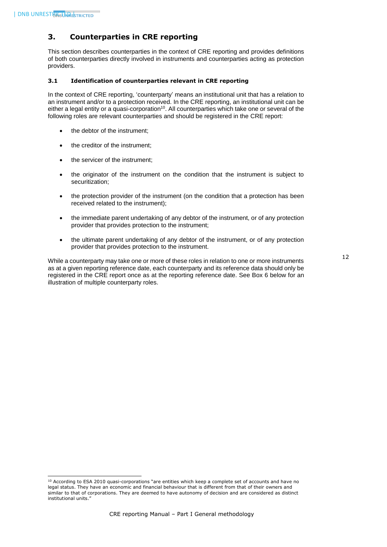1

# <span id="page-12-0"></span>**3. Counterparties in CRE reporting**

This section describes counterparties in the context of CRE reporting and provides definitions of both counterparties directly involved in instruments and counterparties acting as protection providers.

# <span id="page-12-1"></span>**3.1 Identification of counterparties relevant in CRE reporting**

In the context of CRE reporting, 'counterparty' means an institutional unit that has a relation to an instrument and/or to a protection received. In the CRE reporting, an institutional unit can be either a legal entity or a quasi-corporation $10$ . All counterparties which take one or several of the following roles are relevant counterparties and should be registered in the CRE report:

- the debtor of the instrument;
- the creditor of the instrument;
- the servicer of the instrument;
- the originator of the instrument on the condition that the instrument is subject to securitization;
- the protection provider of the instrument (on the condition that a protection has been received related to the instrument);
- the immediate parent undertaking of any debtor of the instrument, or of any protection provider that provides protection to the instrument;
- the ultimate parent undertaking of any debtor of the instrument, or of any protection provider that provides protection to the instrument.

While a counterparty may take one or more of these roles in relation to one or more instruments as at a given reporting reference date, each counterparty and its reference data should only be registered in the CRE report once as at the reporting reference date. See Box 6 below for an illustration of multiple counterparty roles.

<sup>&</sup>lt;sup>10</sup> According to ESA 2010 quasi-corporations "are entities which keep a complete set of accounts and have no legal status. They have an economic and financial behaviour that is different from that of their owners and similar to that of corporations. They are deemed to have autonomy of decision and are considered as distinct institutional units."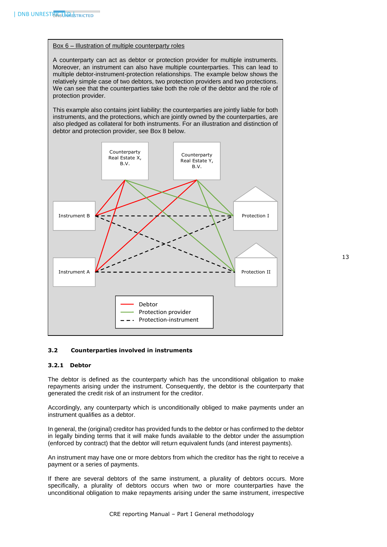## Box 6 – Illustration of multiple counterparty roles

A counterparty can act as debtor or protection provider for multiple instruments. Moreover, an instrument can also have multiple counterparties. This can lead to multiple debtor-instrument-protection relationships. The example below shows the relatively simple case of two debtors, two protection providers and two protections. We can see that the counterparties take both the role of the debtor and the role of protection provider.

This example also contains joint liability: the counterparties are jointly liable for both instruments, and the protections, which are jointly owned by the counterparties, are also pledged as collateral for both instruments. For an illustration and distinction of debtor and protection provider, see Box 8 below.



# <span id="page-13-1"></span><span id="page-13-0"></span>**3.2 Counterparties involved in instruments**

## **3.2.1 Debtor**

The debtor is defined as the counterparty which has the unconditional obligation to make repayments arising under the instrument. Consequently, the debtor is the counterparty that generated the credit risk of an instrument for the creditor.

Accordingly, any counterparty which is unconditionally obliged to make payments under an instrument qualifies as a debtor.

In general, the (original) creditor has provided funds to the debtor or has confirmed to the debtor in legally binding terms that it will make funds available to the debtor under the assumption (enforced by contract) that the debtor will return equivalent funds (and interest payments).

An instrument may have one or more debtors from which the creditor has the right to receive a payment or a series of payments.

If there are several debtors of the same instrument, a plurality of debtors occurs. More specifically, a plurality of debtors occurs when two or more counterparties have the unconditional obligation to make repayments arising under the same instrument, irrespective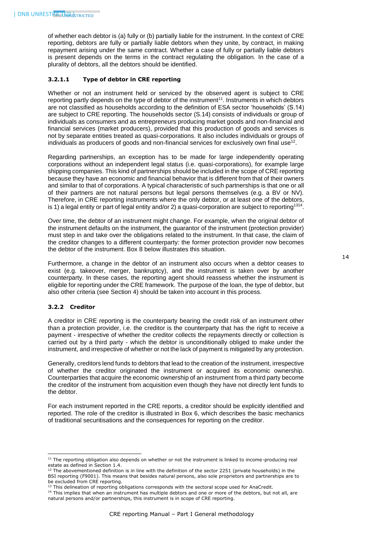of whether each debtor is (a) fully or (b) partially liable for the instrument. In the context of CRE reporting, debtors are fully or partially liable debtors when they unite, by contract, in making repayment arising under the same contract. Whether a case of fully or partially liable debtors is present depends on the terms in the contract regulating the obligation. In the case of a plurality of debtors, all the debtors should be identified.

# <span id="page-14-0"></span>**3.2.1.1 Type of debtor in CRE reporting**

Whether or not an instrument held or serviced by the observed agent is subject to CRE reporting partly depends on the type of debtor of the instrument<sup>11</sup>. Instruments in which debtors are not classified as households according to the definition of ESA sector 'households' (S.14) are subject to CRE reporting. The households sector (S.14) consists of individuals or group of individuals as consumers and as entrepreneurs producing market goods and non-financial and financial services (market producers), provided that this production of goods and services is not by separate entities treated as quasi-corporations. It also includes individuals or groups of individuals as producers of goods and non-financial services for exclusively own final use $^{\rm 12}$ .

Regarding partnerships, an exception has to be made for large independently operating corporations without an independent legal status (i.e. quasi-corporations), for example large shipping companies. This kind of partnerships should be included in the scope of CRE reporting because they have an economic and financial behavior that is different from that of their owners and similar to that of corporations. A typical characteristic of such partnerships is that one or all of their partners are not natural persons but legal persons themselves (e.g. a BV or NV). Therefore, in CRE reporting instruments where the only debtor, or at least one of the debtors, is 1) a legal entity or part of legal entity and/or 2) a quasi-corporation are subject to reporting<sup>1314</sup>.

Over time, the debtor of an instrument might change. For example, when the original debtor of the instrument defaults on the instrument, the guarantor of the instrument (protection provider) must step in and take over the obligations related to the instrument. In that case, the claim of the creditor changes to a different counterparty: the former protection provider now becomes the debtor of the instrument. Box 8 below illustrates this situation.

Furthermore, a change in the debtor of an instrument also occurs when a debtor ceases to exist (e.g. takeover, merger, bankruptcy), and the instrument is taken over by another counterparty. In these cases, the reporting agent should reassess whether the instrument is eligible for reporting under the CRE framework. The purpose of the loan, the type of debtor, but also other criteria (see Section 4) should be taken into account in this process.

#### <span id="page-14-1"></span>**3.2.2 Creditor**

-

A creditor in CRE reporting is the counterparty bearing the credit risk of an instrument other than a protection provider, i.e. the creditor is the counterparty that has the right to receive a payment - irrespective of whether the creditor collects the repayments directly or collection is carried out by a third party - which the debtor is unconditionally obliged to make under the instrument, and irrespective of whether or not the lack of payment is mitigated by any protection.

Generally, creditors lend funds to debtors that lead to the creation of the instrument, irrespective of whether the creditor originated the instrument or acquired its economic ownership. Counterparties that acquire the economic ownership of an instrument from a third party become the creditor of the instrument from acquisition even though they have not directly lent funds to the debtor.

For each instrument reported in the CRE reports, a creditor should be explicitly identified and reported. The role of the creditor is illustrated in Box 6, which describes the basic mechanics of traditional securitisations and the consequences for reporting on the creditor.

<sup>&</sup>lt;sup>11</sup> The reporting obligation also depends on whether or not the instrument is linked to income-producing real estate as defined in Section 1.4.

 $12$  The abovementioned definition is in line with the definition of the sector 2251 (private households) in the BSI reporting (F9001). This means that besides natural persons, also sole proprietors and partnerships are to be excluded from CRE reporting.

<sup>&</sup>lt;sup>13</sup> This delineation of reporting obligations corresponds with the sectoral scope used for AnaCredit.

<sup>&</sup>lt;sup>14</sup> This implies that when an instrument has multiple debtors and one or more of the debtors, but not all, are natural persons and/or partnerships, this instrument is in scope of CRE reporting.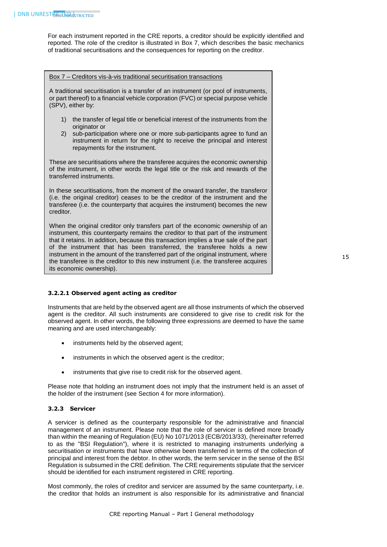For each instrument reported in the CRE reports, a creditor should be explicitly identified and reported. The role of the creditor is illustrated in Box 7, which describes the basic mechanics of traditional securitisations and the consequences for reporting on the creditor.

#### Box 7 – Creditors vis-à-vis traditional securitisation transactions

A traditional securitisation is a transfer of an instrument (or pool of instruments, or part thereof) to a financial vehicle corporation (FVC) or special purpose vehicle (SPV), either by:

- 1) the transfer of legal title or beneficial interest of the instruments from the originator or
- 2) sub-participation where one or more sub-participants agree to fund an instrument in return for the right to receive the principal and interest repayments for the instrument.

These are securitisations where the transferee acquires the economic ownership of the instrument, in other words the legal title or the risk and rewards of the transferred instruments.

In these securitisations, from the moment of the onward transfer, the transferor (i.e. the original creditor) ceases to be the creditor of the instrument and the transferee (i.e. the counterparty that acquires the instrument) becomes the new creditor.

When the original creditor only transfers part of the economic ownership of an instrument, this counterparty remains the creditor to that part of the instrument that it retains. In addition, because this transaction implies a true sale of the part of the instrument that has been transferred, the transferee holds a new instrument in the amount of the transferred part of the original instrument, where the transferee is the creditor to this new instrument (i.e. the transferee acquires its economic ownership).

# <span id="page-15-0"></span>**3.2.2.1 Observed agent acting as creditor**

Instruments that are held by the observed agent are all those instruments of which the observed agent is the creditor. All such instruments are considered to give rise to credit risk for the observed agent. In other words, the following three expressions are deemed to have the same meaning and are used interchangeably:

- instruments held by the observed agent;
- instruments in which the observed agent is the creditor;
- instruments that give rise to credit risk for the observed agent.

Please note that holding an instrument does not imply that the instrument held is an asset of the holder of the instrument (see Section 4 for more information).

# <span id="page-15-1"></span>**3.2.3 Servicer**

A servicer is defined as the counterparty responsible for the administrative and financial management of an instrument. Please note that the role of servicer is defined more broadly than within the meaning of Regulation (EU) No 1071/2013 (ECB/2013/33), (hereinafter referred to as the "BSI Regulation"), where it is restricted to managing instruments underlying a securitisation or instruments that have otherwise been transferred in terms of the collection of principal and interest from the debtor. In other words, the term servicer in the sense of the BSI Regulation is subsumed in the CRE definition. The CRE requirements stipulate that the servicer should be identified for each instrument registered in CRE reporting.

Most commonly, the roles of creditor and servicer are assumed by the same counterparty, i.e. the creditor that holds an instrument is also responsible for its administrative and financial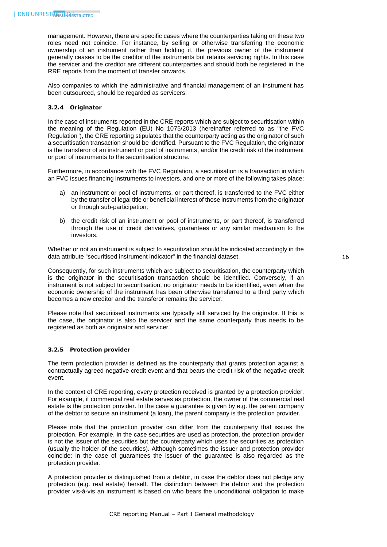management. However, there are specific cases where the counterparties taking on these two roles need not coincide. For instance, by selling or otherwise transferring the economic ownership of an instrument rather than holding it, the previous owner of the instrument generally ceases to be the creditor of the instruments but retains servicing rights. In this case the servicer and the creditor are different counterparties and should both be registered in the RRE reports from the moment of transfer onwards.

Also companies to which the administrative and financial management of an instrument has been outsourced, should be regarded as servicers.

# <span id="page-16-0"></span>**3.2.4 Originator**

In the case of instruments reported in the CRE reports which are subject to securitisation within the meaning of the Regulation (EU) No 1075/2013 (hereinafter referred to as "the FVC Regulation"), the CRE reporting stipulates that the counterparty acting as the originator of such a securitisation transaction should be identified. Pursuant to the FVC Regulation, the originator is the transferor of an instrument or pool of instruments, and/or the credit risk of the instrument or pool of instruments to the securitisation structure.

Furthermore, in accordance with the FVC Regulation, a securitisation is a transaction in which an FVC issues financing instruments to investors, and one or more of the following takes place:

- a) an instrument or pool of instruments, or part thereof, is transferred to the FVC either by the transfer of legal title or beneficial interest of those instruments from the originator or through sub-participation;
- b) the credit risk of an instrument or pool of instruments, or part thereof, is transferred through the use of credit derivatives, guarantees or any similar mechanism to the investors.

Whether or not an instrument is subject to securitization should be indicated accordingly in the data attribute "securitised instrument indicator" in the financial dataset.

Consequently, for such instruments which are subject to securitisation, the counterparty which is the originator in the securitisation transaction should be identified. Conversely, if an instrument is not subject to securitisation, no originator needs to be identified, even when the economic ownership of the instrument has been otherwise transferred to a third party which becomes a new creditor and the transferor remains the servicer.

Please note that securitised instruments are typically still serviced by the originator. If this is the case, the originator is also the servicer and the same counterparty thus needs to be registered as both as originator and servicer.

# <span id="page-16-1"></span>**3.2.5 Protection provider**

The term protection provider is defined as the counterparty that grants protection against a contractually agreed negative credit event and that bears the credit risk of the negative credit event.

In the context of CRE reporting, every protection received is granted by a protection provider. For example, if commercial real estate serves as protection, the owner of the commercial real estate is the protection provider. In the case a guarantee is given by e.g. the parent company of the debtor to secure an instrument (a loan), the parent company is the protection provider.

Please note that the protection provider can differ from the counterparty that issues the protection. For example, in the case securities are used as protection, the protection provider is not the issuer of the securities but the counterparty which uses the securities as protection (usually the holder of the securities). Although sometimes the issuer and protection provider coincide: in the case of guarantees the issuer of the guarantee is also regarded as the protection provider.

A protection provider is distinguished from a debtor, in case the debtor does not pledge any protection (e.g. real estate) herself. The distinction between the debtor and the protection provider vis-à-vis an instrument is based on who bears the unconditional obligation to make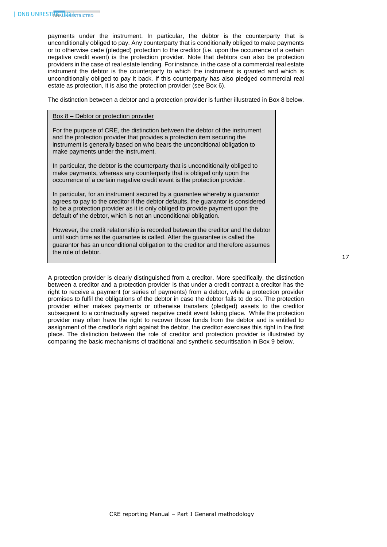payments under the instrument. In particular, the debtor is the counterparty that is unconditionally obliged to pay. Any counterparty that is conditionally obliged to make payments or to otherwise cede (pledged) protection to the creditor (i.e. upon the occurrence of a certain negative credit event) is the protection provider. Note that debtors can also be protection providers in the case of real estate lending. For instance, in the case of a commercial real estate instrument the debtor is the counterparty to which the instrument is granted and which is unconditionally obliged to pay it back. If this counterparty has also pledged commercial real estate as protection, it is also the protection provider (see Box 6).

The distinction between a debtor and a protection provider is further illustrated in Box 8 below.

#### Box 8 – Debtor or protection provider

For the purpose of CRE, the distinction between the debtor of the instrument and the protection provider that provides a protection item securing the instrument is generally based on who bears the unconditional obligation to make payments under the instrument.

In particular, the debtor is the counterparty that is unconditionally obliged to make payments, whereas any counterparty that is obliged only upon the occurrence of a certain negative credit event is the protection provider.

In particular, for an instrument secured by a guarantee whereby a guarantor agrees to pay to the creditor if the debtor defaults, the guarantor is considered to be a protection provider as it is only obliged to provide payment upon the default of the debtor, which is not an unconditional obligation.

However, the credit relationship is recorded between the creditor and the debtor until such time as the guarantee is called. After the guarantee is called the guarantor has an unconditional obligation to the creditor and therefore assumes the role of debtor.

A protection provider is clearly distinguished from a creditor. More specifically, the distinction between a creditor and a protection provider is that under a credit contract a creditor has the right to receive a payment (or series of payments) from a debtor, while a protection provider promises to fulfil the obligations of the debtor in case the debtor fails to do so. The protection provider either makes payments or otherwise transfers (pledged) assets to the creditor subsequent to a contractually agreed negative credit event taking place. While the protection provider may often have the right to recover those funds from the debtor and is entitled to assignment of the creditor's right against the debtor, the creditor exercises this right in the first place. The distinction between the role of creditor and protection provider is illustrated by comparing the basic mechanisms of traditional and synthetic securitisation in Box 9 below.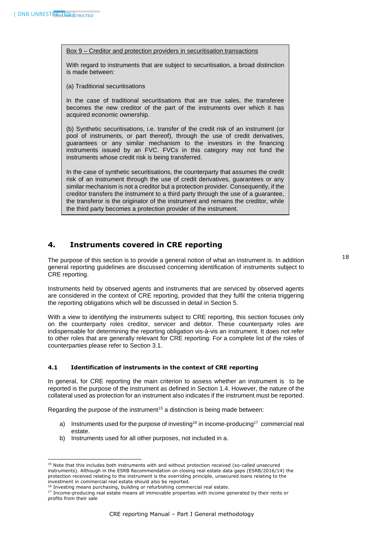1

Box 9 – Creditor and protection providers in securitisation transactions

With regard to instruments that are subject to securitisation, a broad distinction is made between:

(a) Traditional securitisations

In the case of traditional securitisations that are true sales, the transferee becomes the new creditor of the part of the instruments over which it has acquired economic ownership.

(b) Synthetic securitisations, i.e. transfer of the credit risk of an instrument (or pool of instruments, or part thereof), through the use of credit derivatives, guarantees or any similar mechanism to the investors in the financing instruments issued by an FVC. FVCs in this category may not fund the instruments whose credit risk is being transferred.

In the case of synthetic securitisations, the counterparty that assumes the credit risk of an instrument through the use of credit derivatives, guarantees or any similar mechanism is not a creditor but a protection provider. Consequently, if the creditor transfers the instrument to a third party through the use of a guarantee, the transferor is the originator of the instrument and remains the creditor, while the third party becomes a protection provider of the instrument.

# <span id="page-18-0"></span>**4. Instruments covered in CRE reporting**

The purpose of this section is to provide a general notion of what an instrument is. In addition general reporting guidelines are discussed concerning identification of instruments subject to CRE reporting.

Instruments held by observed agents and instruments that are serviced by observed agents are considered in the context of CRE reporting, provided that they fulfil the criteria triggering the reporting obligations which will be discussed in detail in Section 5.

With a view to identifying the instruments subject to CRE reporting, this section focuses only on the counterparty roles creditor, servicer and debtor. These counterparty roles are indispensable for determining the reporting obligation vis-à-vis an instrument. It does not refer to other roles that are generally relevant for CRE reporting. For a complete list of the roles of counterparties please refer to Section 3.1.

# <span id="page-18-1"></span>**4.1 Identification of instruments in the context of CRE reporting**

In general, for CRE reporting the main criterion to assess whether an instrument is to be reported is the purpose of the instrument as defined in Section 1.4. However, the nature of the collateral used as protection for an instrument also indicates if the instrument must be reported.

Regarding the purpose of the instrument<sup>15</sup> a distinction is being made between:

- a) Instruments used for the purpose of investing<sup>16</sup> in income-producing<sup>17</sup> commercial real estate.
- b) Instruments used for all other purposes, not included in a.

<sup>&</sup>lt;sup>15</sup> Note that this includes both instruments with and without protection received (so-called unsecured instruments). Although in the ESRB Recommendation on closing real estate data gaps (ESRB/2016/14) the protection received relating to the instrument is the overriding principle, unsecured loans relating to the investment in commercial real estate should also be reported.

<sup>&</sup>lt;sup>16</sup> Investing means purchasing, building or refurbishing commercial real estate.

<sup>17</sup> Income-producing real estate means all immovable properties with income generated by their rents or profits from their sale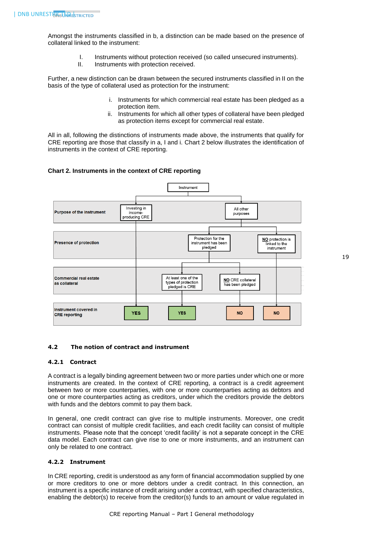Amongst the instruments classified in b, a distinction can be made based on the presence of collateral linked to the instrument:

- I. Instruments without protection received (so called unsecured instruments).
- II. Instruments with protection received.

Further, a new distinction can be drawn between the secured instruments classified in II on the basis of the type of collateral used as protection for the instrument:

- i. Instruments for which commercial real estate has been pledged as a protection item.
- ii. Instruments for which all other types of collateral have been pledged as protection items except for commercial real estate.

All in all, following the distinctions of instruments made above, the instruments that qualify for CRE reporting are those that classify in a, I and i. Chart 2 below illustrates the identification of instruments in the context of CRE reporting.

# **Chart 2. Instruments in the context of CRE reporting**



# <span id="page-19-1"></span><span id="page-19-0"></span>**4.2 The notion of contract and instrument**

# **4.2.1 Contract**

A contract is a legally binding agreement between two or more parties under which one or more instruments are created. In the context of CRE reporting, a contract is a credit agreement between two or more counterparties, with one or more counterparties acting as debtors and one or more counterparties acting as creditors, under which the creditors provide the debtors with funds and the debtors commit to pay them back.

In general, one credit contract can give rise to multiple instruments. Moreover, one credit contract can consist of multiple credit facilities, and each credit facility can consist of multiple instruments. Please note that the concept 'credit facility' is not a separate concept in the CRE data model. Each contract can give rise to one or more instruments, and an instrument can only be related to one contract.

#### <span id="page-19-2"></span>**4.2.2 Instrument**

In CRE reporting, credit is understood as any form of financial accommodation supplied by one or more creditors to one or more debtors under a credit contract. In this connection, an instrument is a specific instance of credit arising under a contract, with specified characteristics, enabling the debtor(s) to receive from the creditor(s) funds to an amount or value regulated in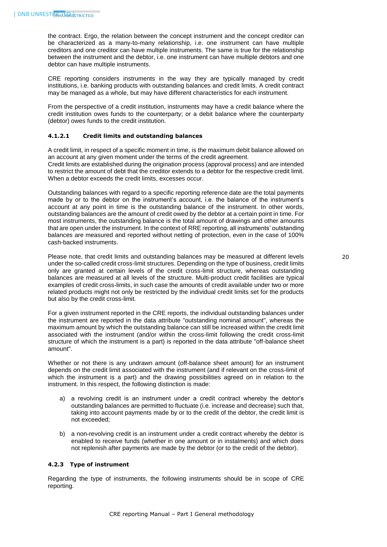the contract. Ergo, the relation between the concept instrument and the concept creditor can be characterized as a many-to-many relationship, i.e. one instrument can have multiple creditors and one creditor can have multiple instruments. The same is true for the relationship between the instrument and the debtor, i.e. one instrument can have multiple debtors and one debtor can have multiple instruments.

CRE reporting considers instruments in the way they are typically managed by credit institutions, i.e. banking products with outstanding balances and credit limits. A credit contract may be managed as a whole, but may have different characteristics for each instrument.

From the perspective of a credit institution, instruments may have a credit balance where the credit institution owes funds to the counterparty; or a debit balance where the counterparty (debtor) owes funds to the credit institution.

# <span id="page-20-0"></span>**4.1.2.1 Credit limits and outstanding balances**

A credit limit, in respect of a specific moment in time, is the maximum debit balance allowed on an account at any given moment under the terms of the credit agreement.

Credit limits are established during the origination process (approval process) and are intended to restrict the amount of debt that the creditor extends to a debtor for the respective credit limit. When a debtor exceeds the credit limits, excesses occur.

Outstanding balances with regard to a specific reporting reference date are the total payments made by or to the debtor on the instrument's account, i.e. the balance of the instrument's account at any point in time is the outstanding balance of the instrument. In other words, outstanding balances are the amount of credit owed by the debtor at a certain point in time. For most instruments, the outstanding balance is the total amount of drawings and other amounts that are open under the instrument. In the context of RRE reporting, all instruments' outstanding balances are measured and reported without netting of protection, even in the case of 100% cash-backed instruments.

Please note, that credit limits and outstanding balances may be measured at different levels under the so-called credit cross-limit structures. Depending on the type of business, credit limits only are granted at certain levels of the credit cross-limit structure, whereas outstanding balances are measured at all levels of the structure. Multi-product credit facilities are typical examples of credit cross-limits, in such case the amounts of credit available under two or more related products might not only be restricted by the individual credit limits set for the products but also by the credit cross-limit.

For a given instrument reported in the CRE reports, the individual outstanding balances under the instrument are reported in the data attribute "outstanding nominal amount", whereas the maximum amount by which the outstanding balance can still be increased within the credit limit associated with the instrument (and/or within the cross-limit following the credit cross-limit structure of which the instrument is a part) is reported in the data attribute "off-balance sheet amount".

Whether or not there is any undrawn amount (off-balance sheet amount) for an instrument depends on the credit limit associated with the instrument (and if relevant on the cross-limit of which the instrument is a part) and the drawing possibilities agreed on in relation to the instrument. In this respect, the following distinction is made:

- a) a revolving credit is an instrument under a credit contract whereby the debtor's outstanding balances are permitted to fluctuate (i.e. increase and decrease) such that, taking into account payments made by or to the credit of the debtor, the credit limit is not exceeded;
- b) a non-revolving credit is an instrument under a credit contract whereby the debtor is enabled to receive funds (whether in one amount or in instalments) and which does not replenish after payments are made by the debtor (or to the credit of the debtor).

#### <span id="page-20-1"></span>**4.2.3 Type of instrument**

Regarding the type of instruments, the following instruments should be in scope of CRE reporting.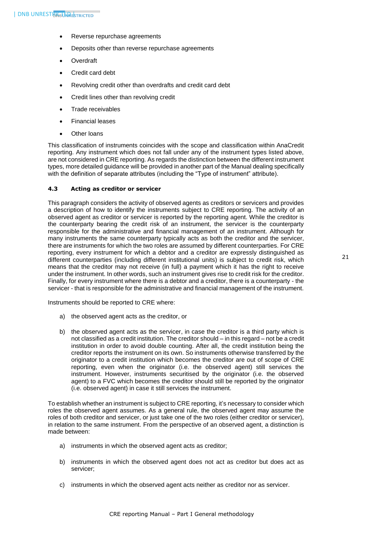- Reverse repurchase agreements
- Deposits other than reverse repurchase agreements
- **Overdraft**
- Credit card debt
- Revolving credit other than overdrafts and credit card debt
- Credit lines other than revolving credit
- Trade receivables
- Financial leases
- Other loans

This classification of instruments coincides with the scope and classification within AnaCredit reporting. Any instrument which does not fall under any of the instrument types listed above, are not considered in CRE reporting. As regards the distinction between the different instrument types, more detailed guidance will be provided in another part of the Manual dealing specifically with the definition of separate attributes (including the "Type of instrument" attribute).

# <span id="page-21-0"></span>**4.3 Acting as creditor or servicer**

This paragraph considers the activity of observed agents as creditors or servicers and provides a description of how to identify the instruments subject to CRE reporting. The activity of an observed agent as creditor or servicer is reported by the reporting agent. While the creditor is the counterparty bearing the credit risk of an instrument, the servicer is the counterparty responsible for the administrative and financial management of an instrument. Although for many instruments the same counterparty typically acts as both the creditor and the servicer, there are instruments for which the two roles are assumed by different counterparties. For CRE reporting, every instrument for which a debtor and a creditor are expressly distinguished as different counterparties (including different institutional units) is subject to credit risk, which means that the creditor may not receive (in full) a payment which it has the right to receive under the instrument. In other words, such an instrument gives rise to credit risk for the creditor. Finally, for every instrument where there is a debtor and a creditor, there is a counterparty - the servicer - that is responsible for the administrative and financial management of the instrument.

Instruments should be reported to CRE where:

- a) the observed agent acts as the creditor, or
- b) the observed agent acts as the servicer, in case the creditor is a third party which is not classified as a credit institution. The creditor should – in this regard – not be a credit institution in order to avoid double counting. After all, the credit institution being the creditor reports the instrument on its own. So instruments otherwise transferred by the originator to a credit institution which becomes the creditor are out of scope of CRE reporting, even when the originator (i.e. the observed agent) still services the instrument. However, instruments securitised by the originator (i.e. the observed agent) to a FVC which becomes the creditor should still be reported by the originator (i.e. observed agent) in case it still services the instrument.

To establish whether an instrument is subject to CRE reporting, it's necessary to consider which roles the observed agent assumes. As a general rule, the observed agent may assume the roles of both creditor and servicer, or just take one of the two roles (either creditor or servicer), in relation to the same instrument. From the perspective of an observed agent, a distinction is made between:

- a) instruments in which the observed agent acts as creditor;
- b) instruments in which the observed agent does not act as creditor but does act as servicer;
- c) instruments in which the observed agent acts neither as creditor nor as servicer.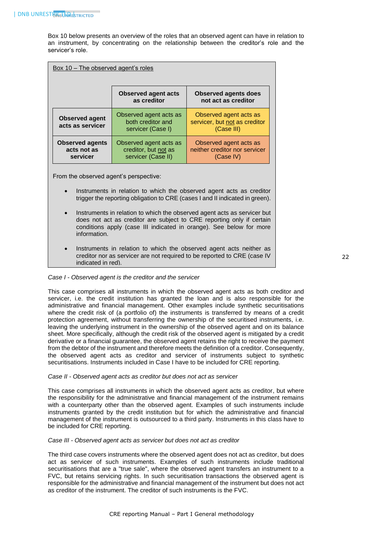Box 10 below presents an overview of the roles that an observed agent can have in relation to an instrument, by concentrating on the relationship between the creditor's role and the servicer's role.

| Box 10 – The observed agent's roles               |                                                                      |                                                                       |  |
|---------------------------------------------------|----------------------------------------------------------------------|-----------------------------------------------------------------------|--|
|                                                   | <b>Observed agent acts</b><br>as creditor                            | <b>Observed agents does</b><br>not act as creditor                    |  |
| <b>Observed agent</b><br>acts as servicer         | Observed agent acts as<br>both creditor and<br>servicer (Case I)     | Observed agent acts as<br>servicer, but not as creditor<br>(Case III) |  |
| <b>Observed agents</b><br>acts not as<br>servicer | Observed agent acts as<br>creditor, but not as<br>servicer (Case II) | Observed agent acts as<br>neither creditor nor servicer<br>(Case IV)  |  |

From the observed agent's perspective:

- Instruments in relation to which the observed agent acts as creditor trigger the reporting obligation to CRE (cases I and II indicated in green).
- Instruments in relation to which the observed agent acts as servicer but does not act as creditor are subject to CRE reporting only if certain conditions apply (case III indicated in orange). See below for more information.
- Instruments in relation to which the observed agent acts neither as creditor nor as servicer are not required to be reported to CRE (case IV indicated in red).

#### *Case I - Observed agent is the creditor and the servicer*

This case comprises all instruments in which the observed agent acts as both creditor and servicer, i.e. the credit institution has granted the loan and is also responsible for the administrative and financial management. Other examples include synthetic securitisations where the credit risk of (a portfolio of) the instruments is transferred by means of a credit protection agreement, without transferring the ownership of the securitised instruments, i.e. leaving the underlying instrument in the ownership of the observed agent and on its balance sheet. More specifically, although the credit risk of the observed agent is mitigated by a credit derivative or a financial guarantee, the observed agent retains the right to receive the payment from the debtor of the instrument and therefore meets the definition of a creditor. Consequently, the observed agent acts as creditor and servicer of instruments subject to synthetic securitisations. Instruments included in Case I have to be included for CRE reporting.

#### *Case II - Observed agent acts as creditor but does not act as servicer*

This case comprises all instruments in which the observed agent acts as creditor, but where the responsibility for the administrative and financial management of the instrument remains with a counterparty other than the observed agent. Examples of such instruments include instruments granted by the credit institution but for which the administrative and financial management of the instrument is outsourced to a third party. Instruments in this class have to be included for CRE reporting.

#### *Case III - Observed agent acts as servicer but does not act as creditor*

The third case covers instruments where the observed agent does not act as creditor, but does act as servicer of such instruments. Examples of such instruments include traditional securitisations that are a "true sale", where the observed agent transfers an instrument to a FVC, but retains servicing rights. In such securitisation transactions the observed agent is responsible for the administrative and financial management of the instrument but does not act as creditor of the instrument. The creditor of such instruments is the FVC.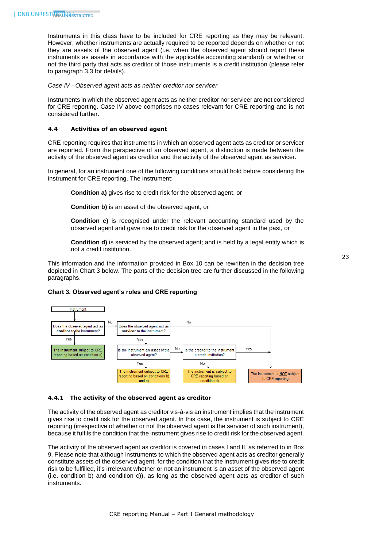Instruments in this class have to be included for CRE reporting as they may be relevant. However, whether instruments are actually required to be reported depends on whether or not they are assets of the observed agent (i.e. when the observed agent should report these instruments as assets in accordance with the applicable accounting standard) or whether or not the third party that acts as creditor of those instruments is a credit institution (please refer to paragraph 3.3 for details).

*Case IV - Observed agent acts as neither creditor nor servicer* 

Instruments in which the observed agent acts as neither creditor nor servicer are not considered for CRE reporting. Case IV above comprises no cases relevant for CRE reporting and is not considered further.

#### <span id="page-23-0"></span>**4.4 Activities of an observed agent**

CRE reporting requires that instruments in which an observed agent acts as creditor or servicer are reported. From the perspective of an observed agent, a distinction is made between the activity of the observed agent as creditor and the activity of the observed agent as servicer.

In general, for an instrument one of the following conditions should hold before considering the instrument for CRE reporting. The instrument:

**Condition a)** gives rise to credit risk for the observed agent, or

**Condition b)** is an asset of the observed agent, or

**Condition c)** is recognised under the relevant accounting standard used by the observed agent and gave rise to credit risk for the observed agent in the past, or

**Condition d)** is serviced by the observed agent; and is held by a legal entity which is not a credit institution.

This information and the information provided in Box 10 can be rewritten in the decision tree depicted in Chart 3 below. The parts of the decision tree are further discussed in the following paragraphs.

#### **Chart 3. Observed agent's roles and CRE reporting**



#### <span id="page-23-1"></span>**4.4.1 The activity of the observed agent as creditor**

The activity of the observed agent as creditor vis-à-vis an instrument implies that the instrument gives rise to credit risk for the observed agent. In this case, the instrument is subject to CRE reporting (irrespective of whether or not the observed agent is the servicer of such instrument), because it fulfils the condition that the instrument gives rise to credit risk for the observed agent.

The activity of the observed agent as creditor is covered in cases I and II, as referred to in Box 9. Please note that although instruments to which the observed agent acts as creditor generally constitute assets of the observed agent, for the condition that the instrument gives rise to credit risk to be fulfilled, it's irrelevant whether or not an instrument is an asset of the observed agent (i.e. condition b) and condition c)), as long as the observed agent acts as creditor of such instruments.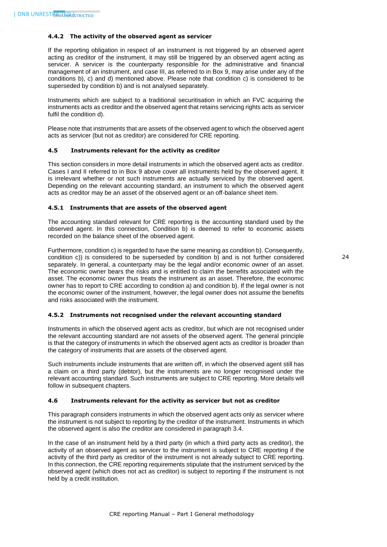#### <span id="page-24-0"></span>**4.4.2 The activity of the observed agent as servicer**

If the reporting obligation in respect of an instrument is not triggered by an observed agent acting as creditor of the instrument, it may still be triggered by an observed agent acting as servicer. A servicer is the counterparty responsible for the administrative and financial management of an instrument, and case III, as referred to in Box 9, may arise under any of the conditions b), c) and d) mentioned above. Please note that condition c) is considered to be superseded by condition b) and is not analysed separately.

Instruments which are subject to a traditional securitisation in which an FVC acquiring the instruments acts as creditor and the observed agent that retains servicing rights acts as servicer fulfil the condition d).

Please note that instruments that are assets of the observed agent to which the observed agent acts as servicer (but not as creditor) are considered for CRE reporting.

# <span id="page-24-1"></span>**4.5 Instruments relevant for the activity as creditor**

This section considers in more detail instruments in which the observed agent acts as creditor. Cases I and II referred to in Box 9 above cover all instruments held by the observed agent. It is irrelevant whether or not such instruments are actually serviced by the observed agent. Depending on the relevant accounting standard, an instrument to which the observed agent acts as creditor may be an asset of the observed agent or an off-balance sheet item.

# <span id="page-24-2"></span>**4.5.1 Instruments that are assets of the observed agent**

The accounting standard relevant for CRE reporting is the accounting standard used by the observed agent. In this connection, Condition b) is deemed to refer to economic assets recorded on the balance sheet of the observed agent.

Furthermore, condition c) is regarded to have the same meaning as condition b). Consequently, condition c)) is considered to be superseded by condition b) and is not further considered separately. In general, a counterparty may be the legal and/or economic owner of an asset. The economic owner bears the risks and is entitled to claim the benefits associated with the asset. The economic owner thus treats the instrument as an asset. Therefore, the economic owner has to report to CRE according to condition a) and condition b). If the legal owner is not the economic owner of the instrument, however, the legal owner does not assume the benefits and risks associated with the instrument.

#### <span id="page-24-3"></span>**4.5.2 Instruments not recognised under the relevant accounting standard**

Instruments in which the observed agent acts as creditor, but which are not recognised under the relevant accounting standard are not assets of the observed agent. The general principle is that the category of instruments in which the observed agent acts as creditor is broader than the category of instruments that are assets of the observed agent.

Such instruments include instruments that are written off, in which the observed agent still has a claim on a third party (debtor), but the instruments are no longer recognised under the relevant accounting standard. Such instruments are subject to CRE reporting. More details will follow in subsequent chapters.

# <span id="page-24-4"></span>**4.6 Instruments relevant for the activity as servicer but not as creditor**

This paragraph considers instruments in which the observed agent acts only as servicer where the instrument is not subject to reporting by the creditor of the instrument. Instruments in which the observed agent is also the creditor are considered in paragraph 3.4.

In the case of an instrument held by a third party (in which a third party acts as creditor), the activity of an observed agent as servicer to the instrument is subject to CRE reporting if the activity of the third party as creditor of the instrument is not already subject to CRE reporting. In this connection, the CRE reporting requirements stipulate that the instrument serviced by the observed agent (which does not act as creditor) is subject to reporting if the instrument is not held by a credit institution.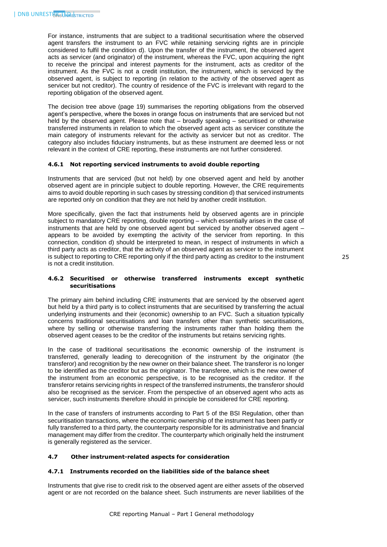For instance, instruments that are subject to a traditional securitisation where the observed agent transfers the instrument to an FVC while retaining servicing rights are in principle considered to fulfil the condition d). Upon the transfer of the instrument, the observed agent acts as servicer (and originator) of the instrument, whereas the FVC, upon acquiring the right to receive the principal and interest payments for the instrument, acts as creditor of the instrument. As the FVC is not a credit institution, the instrument, which is serviced by the observed agent, is subject to reporting (in relation to the activity of the observed agent as servicer but not creditor). The country of residence of the FVC is irrelevant with regard to the reporting obligation of the observed agent.

The decision tree above (page 19) summarises the reporting obligations from the observed agent's perspective, where the boxes in orange focus on instruments that are serviced but not held by the observed agent. Please note that – broadly speaking – securitised or otherwise transferred instruments in relation to which the observed agent acts as servicer constitute the main category of instruments relevant for the activity as servicer but not as creditor. The category also includes fiduciary instruments, but as these instrument are deemed less or not relevant in the context of CRE reporting, these instruments are not further considered.

# <span id="page-25-0"></span>**4.6.1 Not reporting serviced instruments to avoid double reporting**

Instruments that are serviced (but not held) by one observed agent and held by another observed agent are in principle subject to double reporting. However, the CRE requirements aims to avoid double reporting in such cases by stressing condition d) that serviced instruments are reported only on condition that they are not held by another credit institution.

More specifically, given the fact that instruments held by observed agents are in principle subject to mandatory CRE reporting, double reporting – which essentially arises in the case of instruments that are held by one observed agent but serviced by another observed agent – appears to be avoided by exempting the activity of the servicer from reporting. In this connection, condition d) should be interpreted to mean, in respect of instruments in which a third party acts as creditor, that the activity of an observed agent as servicer to the instrument is subject to reporting to CRE reporting only if the third party acting as creditor to the instrument is not a credit institution.

# <span id="page-25-1"></span>**4.6.2 Securitised or otherwise transferred instruments except synthetic securitisations**

The primary aim behind including CRE instruments that are serviced by the observed agent but held by a third party is to collect instruments that are securitised by transferring the actual underlying instruments and their (economic) ownership to an FVC. Such a situation typically concerns traditional securitisations and loan transfers other than synthetic securitisations, where by selling or otherwise transferring the instruments rather than holding them the observed agent ceases to be the creditor of the instruments but retains servicing rights.

In the case of traditional securitisations the economic ownership of the instrument is transferred, generally leading to derecognition of the instrument by the originator (the transferor) and recognition by the new owner on their balance sheet. The transferor is no longer to be identified as the creditor but as the originator. The transferee, which is the new owner of the instrument from an economic perspective, is to be recognised as the creditor. If the transferor retains servicing rights in respect of the transferred instruments, the transferor should also be recognised as the servicer. From the perspective of an observed agent who acts as servicer, such instruments therefore should in principle be considered for CRE reporting.

In the case of transfers of instruments according to Part 5 of the BSI Regulation, other than securitisation transactions, where the economic ownership of the instrument has been partly or fully transferred to a third party, the counterparty responsible for its administrative and financial management may differ from the creditor. The counterparty which originally held the instrument is generally registered as the servicer.

## <span id="page-25-3"></span><span id="page-25-2"></span>**4.7 Other instrument-related aspects for consideration**

# **4.7.1 Instruments recorded on the liabilities side of the balance sheet**

Instruments that give rise to credit risk to the observed agent are either assets of the observed agent or are not recorded on the balance sheet. Such instruments are never liabilities of the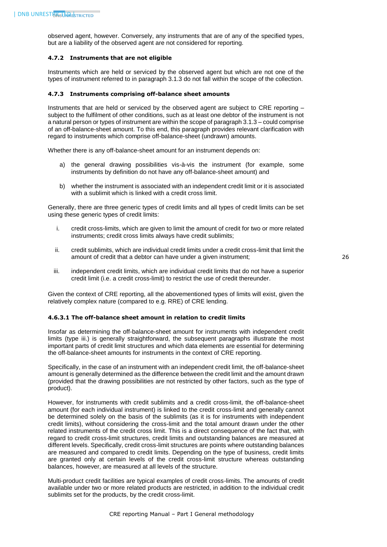observed agent, however. Conversely, any instruments that are of any of the specified types, but are a liability of the observed agent are not considered for reporting.

#### <span id="page-26-0"></span>**4.7.2 Instruments that are not eligible**

Instruments which are held or serviced by the observed agent but which are not one of the types of instrument referred to in paragraph 3.1.3 do not fall within the scope of the collection.

#### <span id="page-26-1"></span>**4.7.3 Instruments comprising off-balance sheet amounts**

Instruments that are held or serviced by the observed agent are subject to CRE reporting – subject to the fulfilment of other conditions, such as at least one debtor of the instrument is not a natural person or types of instrument are within the scope of paragraph 3.1.3 – could comprise of an off-balance-sheet amount. To this end, this paragraph provides relevant clarification with regard to instruments which comprise off-balance-sheet (undrawn) amounts.

Whether there is any off-balance-sheet amount for an instrument depends on:

- a) the general drawing possibilities vis-à-vis the instrument (for example, some instruments by definition do not have any off-balance-sheet amount) and
- b) whether the instrument is associated with an independent credit limit or it is associated with a sublimit which is linked with a credit cross limit.

Generally, there are three generic types of credit limits and all types of credit limits can be set using these generic types of credit limits:

- i. credit cross-limits, which are given to limit the amount of credit for two or more related instruments; credit cross limits always have credit sublimits;
- ii. credit sublimits, which are individual credit limits under a credit cross-limit that limit the amount of credit that a debtor can have under a given instrument;
- iii. independent credit limits, which are individual credit limits that do not have a superior credit limit (i.e. a credit cross-limit) to restrict the use of credit thereunder.

Given the context of CRE reporting, all the abovementioned types of limits will exist, given the relatively complex nature (compared to e.g. RRE) of CRE lending.

#### <span id="page-26-2"></span>**4.6.3.1 The off-balance sheet amount in relation to credit limits**

Insofar as determining the off-balance-sheet amount for instruments with independent credit limits (type iii.) is generally straightforward, the subsequent paragraphs illustrate the most important parts of credit limit structures and which data elements are essential for determining the off-balance-sheet amounts for instruments in the context of CRE reporting.

Specifically, in the case of an instrument with an independent credit limit, the off-balance-sheet amount is generally determined as the difference between the credit limit and the amount drawn (provided that the drawing possibilities are not restricted by other factors, such as the type of product).

However, for instruments with credit sublimits and a credit cross-limit, the off-balance-sheet amount (for each individual instrument) is linked to the credit cross-limit and generally cannot be determined solely on the basis of the sublimits (as it is for instruments with independent credit limits), without considering the cross-limit and the total amount drawn under the other related instruments of the credit cross limit. This is a direct consequence of the fact that, with regard to credit cross-limit structures, credit limits and outstanding balances are measured at different levels. Specifically, credit cross-limit structures are points where outstanding balances are measured and compared to credit limits. Depending on the type of business, credit limits are granted only at certain levels of the credit cross-limit structure whereas outstanding balances, however, are measured at all levels of the structure.

Multi-product credit facilities are typical examples of credit cross-limits. The amounts of credit available under two or more related products are restricted, in addition to the individual credit sublimits set for the products, by the credit cross-limit.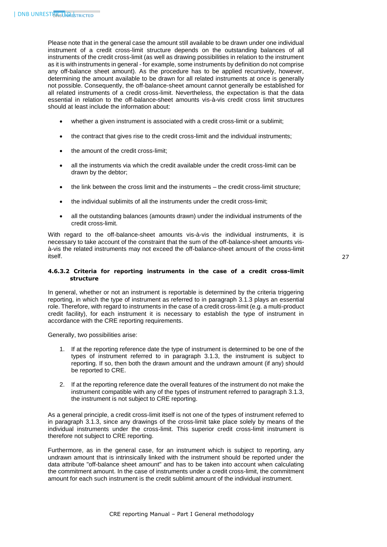Please note that in the general case the amount still available to be drawn under one individual instrument of a credit cross-limit structure depends on the outstanding balances of all instruments of the credit cross-limit (as well as drawing possibilities in relation to the instrument as it is with instruments in general - for example, some instruments by definition do not comprise any off-balance sheet amount). As the procedure has to be applied recursively, however, determining the amount available to be drawn for all related instruments at once is generally not possible. Consequently, the off-balance-sheet amount cannot generally be established for all related instruments of a credit cross-limit. Nevertheless, the expectation is that the data essential in relation to the off-balance-sheet amounts vis-à-vis credit cross limit structures should at least include the information about:

- whether a given instrument is associated with a credit cross-limit or a sublimit;
- the contract that gives rise to the credit cross-limit and the individual instruments;
- the amount of the credit cross-limit;
- all the instruments via which the credit available under the credit cross-limit can be drawn by the debtor;
- the link between the cross limit and the instruments the credit cross-limit structure;
- the individual sublimits of all the instruments under the credit cross-limit;
- all the outstanding balances (amounts drawn) under the individual instruments of the credit cross-limit.

With regard to the off-balance-sheet amounts vis-à-vis the individual instruments, it is necessary to take account of the constraint that the sum of the off-balance-sheet amounts visà-vis the related instruments may not exceed the off-balance-sheet amount of the cross-limit itself.

# <span id="page-27-0"></span>**4.6.3.2 Criteria for reporting instruments in the case of a credit cross-limit structure**

In general, whether or not an instrument is reportable is determined by the criteria triggering reporting, in which the type of instrument as referred to in paragraph 3.1.3 plays an essential role. Therefore, with regard to instruments in the case of a credit cross-limit (e.g. a multi-product credit facility), for each instrument it is necessary to establish the type of instrument in accordance with the CRE reporting requirements.

Generally, two possibilities arise:

- 1. If at the reporting reference date the type of instrument is determined to be one of the types of instrument referred to in paragraph 3.1.3, the instrument is subject to reporting. If so, then both the drawn amount and the undrawn amount (if any) should be reported to CRE.
- 2. If at the reporting reference date the overall features of the instrument do not make the instrument compatible with any of the types of instrument referred to paragraph 3.1.3, the instrument is not subject to CRE reporting.

As a general principle, a credit cross-limit itself is not one of the types of instrument referred to in paragraph 3.1.3, since any drawings of the cross-limit take place solely by means of the individual instruments under the cross-limit. This superior credit cross-limit instrument is therefore not subject to CRE reporting.

Furthermore, as in the general case, for an instrument which is subject to reporting, any undrawn amount that is intrinsically linked with the instrument should be reported under the data attribute "off-balance sheet amount" and has to be taken into account when calculating the commitment amount. In the case of instruments under a credit cross-limit, the commitment amount for each such instrument is the credit sublimit amount of the individual instrument.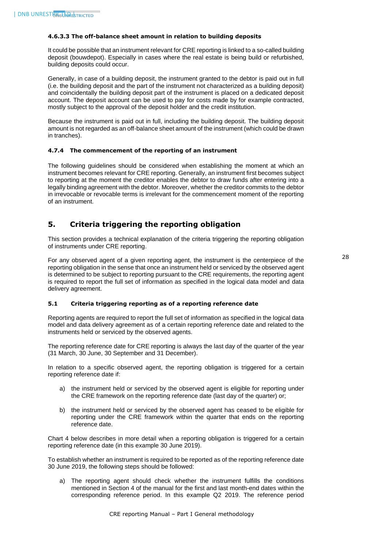#### <span id="page-28-0"></span>**4.6.3.3 The off-balance sheet amount in relation to building deposits**

It could be possible that an instrument relevant for CRE reporting is linked to a so-called building deposit (bouwdepot). Especially in cases where the real estate is being build or refurbished, building deposits could occur.

Generally, in case of a building deposit, the instrument granted to the debtor is paid out in full (i.e. the building deposit and the part of the instrument not characterized as a building deposit) and coincidentally the building deposit part of the instrument is placed on a dedicated deposit account. The deposit account can be used to pay for costs made by for example contracted, mostly subject to the approval of the deposit holder and the credit institution.

Because the instrument is paid out in full, including the building deposit. The building deposit amount is not regarded as an off-balance sheet amount of the instrument (which could be drawn in tranches).

# <span id="page-28-1"></span>**4.7.4 The commencement of the reporting of an instrument**

The following guidelines should be considered when establishing the moment at which an instrument becomes relevant for CRE reporting. Generally, an instrument first becomes subject to reporting at the moment the creditor enables the debtor to draw funds after entering into a legally binding agreement with the debtor. Moreover, whether the creditor commits to the debtor in irrevocable or revocable terms is irrelevant for the commencement moment of the reporting of an instrument.

# <span id="page-28-2"></span>**5. Criteria triggering the reporting obligation**

This section provides a technical explanation of the criteria triggering the reporting obligation of instruments under CRE reporting.

For any observed agent of a given reporting agent, the instrument is the centerpiece of the reporting obligation in the sense that once an instrument held or serviced by the observed agent is determined to be subject to reporting pursuant to the CRE requirements, the reporting agent is required to report the full set of information as specified in the logical data model and data delivery agreement.

# <span id="page-28-3"></span>**5.1 Criteria triggering reporting as of a reporting reference date**

Reporting agents are required to report the full set of information as specified in the logical data model and data delivery agreement as of a certain reporting reference date and related to the instruments held or serviced by the observed agents.

The reporting reference date for CRE reporting is always the last day of the quarter of the year (31 March, 30 June, 30 September and 31 December).

In relation to a specific observed agent, the reporting obligation is triggered for a certain reporting reference date if:

- a) the instrument held or serviced by the observed agent is eligible for reporting under the CRE framework on the reporting reference date (last day of the quarter) or;
- b) the instrument held or serviced by the observed agent has ceased to be eligible for reporting under the CRE framework within the quarter that ends on the reporting reference date.

Chart 4 below describes in more detail when a reporting obligation is triggered for a certain reporting reference date (in this example 30 June 2019).

To establish whether an instrument is required to be reported as of the reporting reference date 30 June 2019, the following steps should be followed:

a) The reporting agent should check whether the instrument fulfills the conditions mentioned in Section 4 of the manual for the first and last month-end dates within the corresponding reference period. In this example Q2 2019. The reference period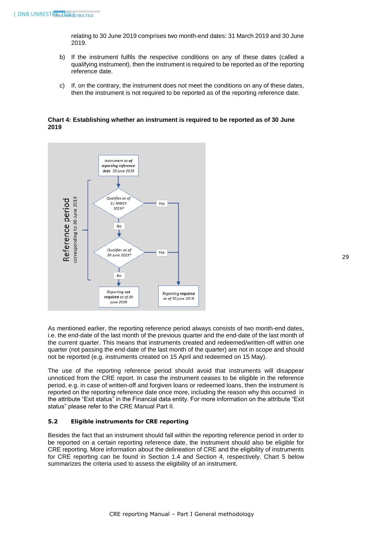relating to 30 June 2019 comprises two month-end dates: 31 March 2019 and 30 June 2019.

- b) If the instrument fulfils the respective conditions on any of these dates (called a qualifying instrument), then the instrument is required to be reported as of the reporting reference date.
- c) If, on the contrary, the instrument does not meet the conditions on any of these dates, then the instrument is not required to be reported as of the reporting reference date.

**Chart 4: Establishing whether an instrument is required to be reported as of 30 June 2019**



As mentioned earlier, the reporting reference period always consists of two month-end dates, i.e. the end-date of the last month of the previous quarter and the end-date of the last month of the current quarter. This means that instruments created and redeemed/written-off within one quarter (not passing the end-date of the last month of the quarter) are not in scope and should not be reported (e.g. instruments created on 15 April and redeemed on 15 May).

The use of the reporting reference period should avoid that instruments will disappear unnoticed from the CRE report. In case the instrument ceases to be eligible in the reference period, e.g. in case of written-off and forgiven loans or redeemed loans, then the instrument is reported on the reporting reference date once more, including the reason why this occurred in the attribute "Exit status" in the Financial data entity. For more information on the attribute "Exit status" please refer to the CRE Manual Part II.

#### <span id="page-29-0"></span>**5.2 Eligible instruments for CRE reporting**

Besides the fact that an instrument should fall within the reporting reference period in order to be reported on a certain reporting reference date, the instrument should also be eligible for CRE reporting. More information about the delineation of CRE and the eligibility of instruments for CRE reporting can be found in Section 1.4 and Section 4, respectively. Chart 5 below summarizes the criteria used to assess the eligibility of an instrument.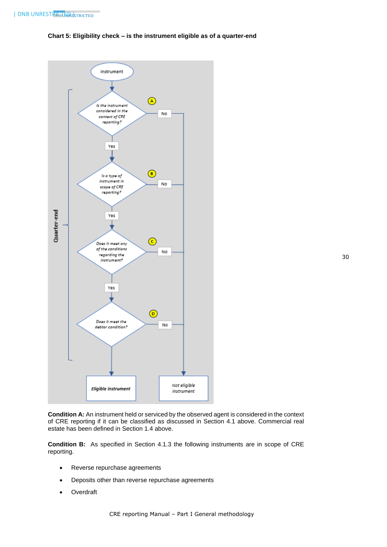# **Chart 5: Eligibility check – is the instrument eligible as of a quarter-end**



**Condition A:** An instrument held or serviced by the observed agent is considered in the context of CRE reporting if it can be classified as discussed in Section 4.1 above. Commercial real estate has been defined in Section 1.4 above.

**Condition B:** As specified in Section 4.1.3 the following instruments are in scope of CRE reporting.

- Reverse repurchase agreements
- Deposits other than reverse repurchase agreements
- Overdraft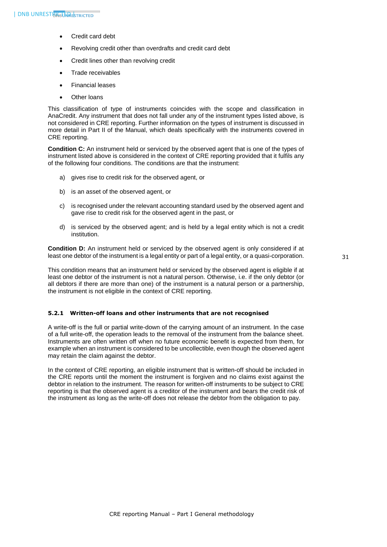- Credit card debt
- Revolving credit other than overdrafts and credit card debt
- Credit lines other than revolving credit
- Trade receivables
- Financial leases
- Other loans

This classification of type of instruments coincides with the scope and classification in AnaCredit. Any instrument that does not fall under any of the instrument types listed above, is not considered in CRE reporting. Further information on the types of instrument is discussed in more detail in Part II of the Manual, which deals specifically with the instruments covered in CRE reporting.

**Condition C:** An instrument held or serviced by the observed agent that is one of the types of instrument listed above is considered in the context of CRE reporting provided that it fulfils any of the following four conditions. The conditions are that the instrument:

- a) gives rise to credit risk for the observed agent, or
- b) is an asset of the observed agent, or
- c) is recognised under the relevant accounting standard used by the observed agent and gave rise to credit risk for the observed agent in the past, or
- d) is serviced by the observed agent; and is held by a legal entity which is not a credit institution.

**Condition D:** An instrument held or serviced by the observed agent is only considered if at least one debtor of the instrument is a legal entity or part of a legal entity, or a quasi-corporation.

This condition means that an instrument held or serviced by the observed agent is eligible if at least one debtor of the instrument is not a natural person. Otherwise, i.e. if the only debtor (or all debtors if there are more than one) of the instrument is a natural person or a partnership, the instrument is not eligible in the context of CRE reporting.

#### <span id="page-31-0"></span>**5.2.1 Written-off loans and other instruments that are not recognised**

A write-off is the full or partial write-down of the carrying amount of an instrument. In the case of a full write-off, the operation leads to the removal of the instrument from the balance sheet. Instruments are often written off when no future economic benefit is expected from them, for example when an instrument is considered to be uncollectible, even though the observed agent may retain the claim against the debtor.

In the context of CRE reporting, an eligible instrument that is written-off should be included in the CRE reports until the moment the instrument is forgiven and no claims exist against the debtor in relation to the instrument. The reason for written-off instruments to be subject to CRE reporting is that the observed agent is a creditor of the instrument and bears the credit risk of the instrument as long as the write-off does not release the debtor from the obligation to pay.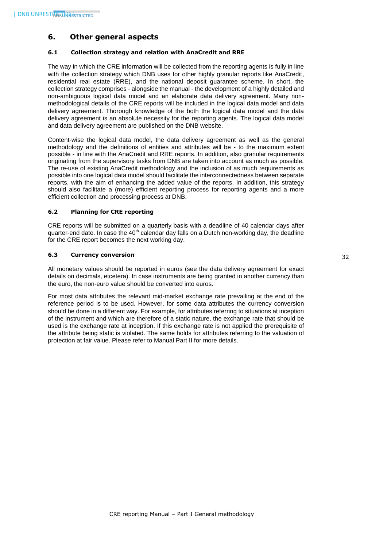# <span id="page-32-0"></span>**6. Other general aspects**

# <span id="page-32-1"></span>**6.1 Collection strategy and relation with AnaCredit and RRE**

The way in which the CRE information will be collected from the reporting agents is fully in line with the collection strategy which DNB uses for other highly granular reports like AnaCredit, residential real estate (RRE), and the national deposit guarantee scheme. In short, the collection strategy comprises - alongside the manual - the development of a highly detailed and non-ambiguous logical data model and an elaborate data delivery agreement. Many nonmethodological details of the CRE reports will be included in the logical data model and data delivery agreement. Thorough knowledge of the both the logical data model and the data delivery agreement is an absolute necessity for the reporting agents. The logical data model and data delivery agreement are published on the DNB website.

Content-wise the logical data model, the data delivery agreement as well as the general methodology and the definitions of entities and attributes will be - to the maximum extent possible - in line with the AnaCredit and RRE reports. In addition, also granular requirements originating from the supervisory tasks from DNB are taken into account as much as possible. The re-use of existing AnaCredit methodology and the inclusion of as much requirements as possible into one logical data model should facilitate the interconnectedness between separate reports, with the aim of enhancing the added value of the reports. In addition, this strategy should also facilitate a (more) efficient reporting process for reporting agents and a more efficient collection and processing process at DNB.

# <span id="page-32-2"></span>**6.2 Planning for CRE reporting**

CRE reports will be submitted on a quarterly basis with a deadline of 40 calendar days after quarter-end date. In case the 40<sup>th</sup> calendar day falls on a Dutch non-working day, the deadline for the CRE report becomes the next working day.

# <span id="page-32-3"></span>**6.3 Currency conversion**

All monetary values should be reported in euros (see the data delivery agreement for exact details on decimals, etcetera). In case instruments are being granted in another currency than the euro, the non-euro value should be converted into euros.

For most data attributes the relevant mid-market exchange rate prevailing at the end of the reference period is to be used. However, for some data attributes the currency conversion should be done in a different way. For example, for attributes referring to situations at inception of the instrument and which are therefore of a static nature, the exchange rate that should be used is the exchange rate at inception. If this exchange rate is not applied the prerequisite of the attribute being static is violated. The same holds for attributes referring to the valuation of protection at fair value. Please refer to Manual Part II for more details.